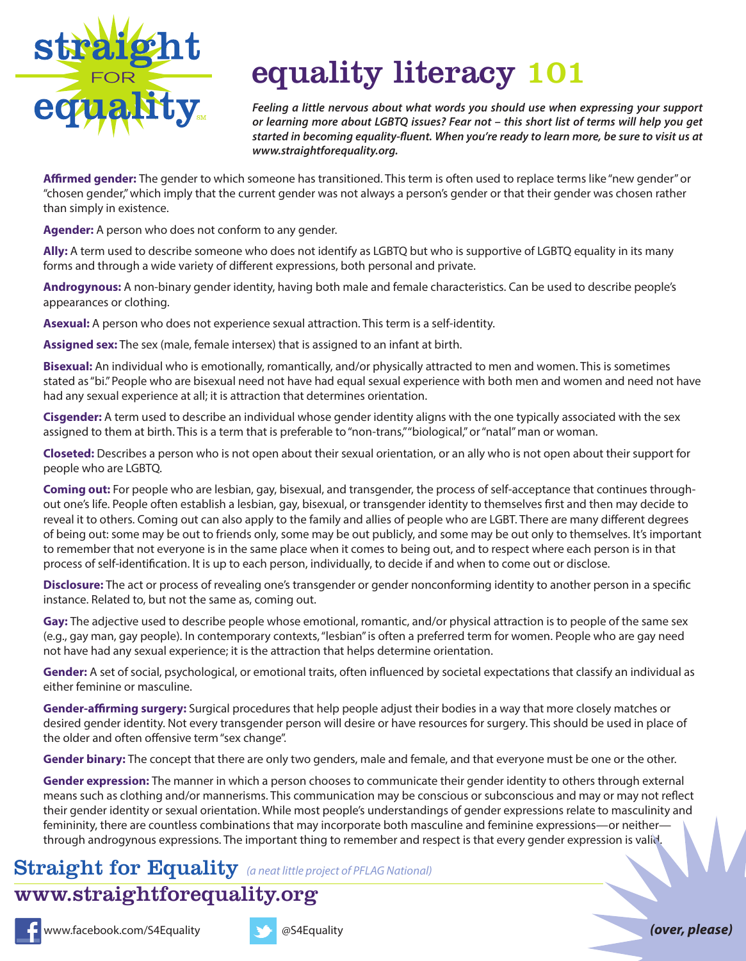

## equality literacy 101 equality literacy 101

*Feeling a little nervous about what words you should use when expressing your support or learning more about LGBTQ issues? Fear not – this short list of terms will help you get started in becoming equality-fluent. When you're ready to learn more, be sure to visit us at www.straightforequality.org.*

**Affirmed gender:** The gender to which someone has transitioned. This term is often used to replace terms like "new gender" or "chosen gender," which imply that the current gender was not always a person's gender or that their gender was chosen rather than simply in existence.

**Agender:** A person who does not conform to any gender.

**Ally:** A term used to describe someone who does not identify as LGBTQ but who is supportive of LGBTQ equality in its many forms and through a wide variety of different expressions, both personal and private.

**Androgynous:** A non-binary gender identity, having both male and female characteristics. Can be used to describe people's appearances or clothing.

**Asexual:** A person who does not experience sexual attraction. This term is a self-identity.

**Assigned sex:** The sex (male, female intersex) that is assigned to an infant at birth.

**Bisexual:** An individual who is emotionally, romantically, and/or physically attracted to men and women. This is sometimes stated as "bi." People who are bisexual need not have had equal sexual experience with both men and women and need not have had any sexual experience at all; it is attraction that determines orientation.

**Cisgender:** A term used to describe an individual whose gender identity aligns with the one typically associated with the sex assigned to them at birth. This is a term that is preferable to "non-trans," "biological," or "natal" man or woman.

**Closeted:** Describes a person who is not open about their sexual orientation, or an ally who is not open about their support for people who are LGBTQ.

**Coming out:** For people who are lesbian, gay, bisexual, and transgender, the process of self-acceptance that continues throughout one's life. People often establish a lesbian, gay, bisexual, or transgender identity to themselves first and then may decide to reveal it to others. Coming out can also apply to the family and allies of people who are LGBT. There are many different degrees of being out: some may be out to friends only, some may be out publicly, and some may be out only to themselves. It's important to remember that not everyone is in the same place when it comes to being out, and to respect where each person is in that process of self-identification. It is up to each person, individually, to decide if and when to come out or disclose.

**Disclosure:** The act or process of revealing one's transgender or gender nonconforming identity to another person in a specific instance. Related to, but not the same as, coming out.

**Gay:** The adjective used to describe people whose emotional, romantic, and/or physical attraction is to people of the same sex (e.g., gay man, gay people). In contemporary contexts, "lesbian" is often a preferred term for women. People who are gay need not have had any sexual experience; it is the attraction that helps determine orientation.

**Gender:** A set of social, psychological, or emotional traits, often influenced by societal expectations that classify an individual as either feminine or masculine.

**Gender-affirming surgery:** Surgical procedures that help people adjust their bodies in a way that more closely matches or desired gender identity. Not every transgender person will desire or have resources for surgery. This should be used in place of the older and often offensive term "sex change".

**Gender binary:** The concept that there are only two genders, male and female, and that everyone must be one or the other.

**Gender expression:** The manner in which a person chooses to communicate their gender identity to others through external means such as clothing and/or mannerisms. This communication may be conscious or subconscious and may or may not reflect their gender identity or sexual orientation. While most people's understandings of gender expressions relate to masculinity and femininity, there are countless combinations that may incorporate both masculine and feminine expressions—or neitherthrough androgynous expressions. The important thing to remember and respect is that every gender expression is valid.

## Straight for Equality *(a neatle project of PFLAG National)* Straight for Equality *(a neat little project of PFLAG National)*

## www.straightforecarelity.org www.straightforequality.org